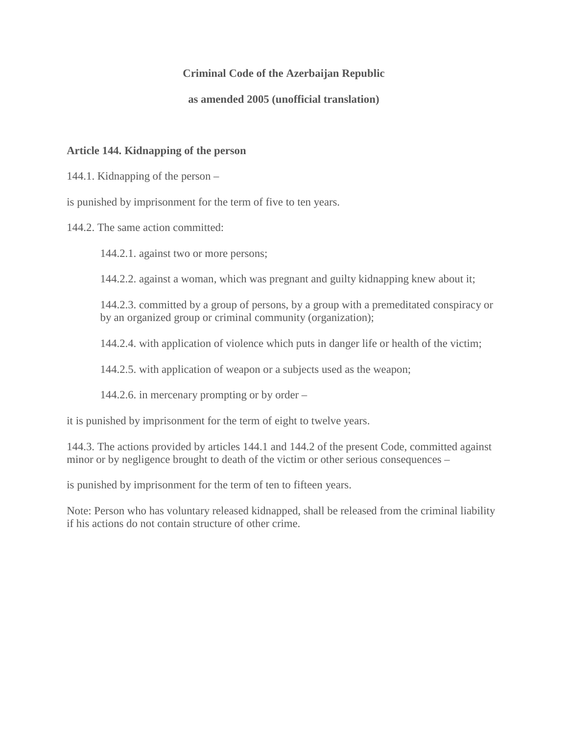#### **Criminal Code of the Azerbaijan Republic**

#### **as amended 2005 (unofficial translation)**

#### **Article 144. Kidnapping of the person**

144.1. Kidnapping of the person –

is punished by imprisonment for the term of five to ten years.

144.2. The same action committed:

144.2.1. against two or more persons;

144.2.2. against a woman, which was pregnant and guilty kidnapping knew about it;

144.2.3. committed by a group of persons, by a group with a premeditated conspiracy or by an organized group or criminal community (organization);

144.2.4. with application of violence which puts in danger life or health of the victim;

144.2.5. with application of weapon or a subjects used as the weapon;

144.2.6. in mercenary prompting or by order –

it is punished by imprisonment for the term of eight to twelve years.

144.3. The actions provided by articles 144.1 and 144.2 of the present Code, committed against minor or by negligence brought to death of the victim or other serious consequences –

is punished by imprisonment for the term of ten to fifteen years.

Note: Person who has voluntary released kidnapped, shall be released from the criminal liability if his actions do not contain structure of other crime.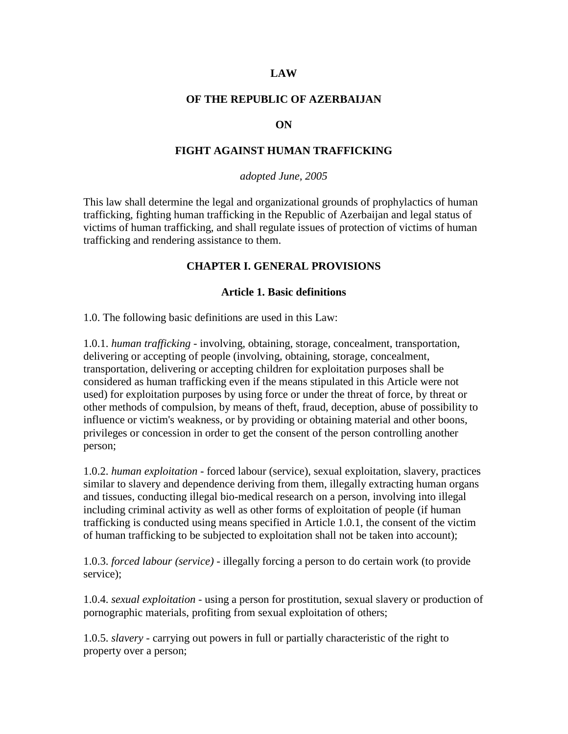#### **LAW**

#### **OF THE REPUBLIC OF AZERBAIJAN**

#### **ON**

#### **FIGHT AGAINST HUMAN TRAFFICKING**

#### *adopted June, 2005*

This law shall determine the legal and organizational grounds of prophylactics of human trafficking, fighting human trafficking in the Republic of Azerbaijan and legal status of victims of human trafficking, and shall regulate issues of protection of victims of human trafficking and rendering assistance to them.

#### **CHAPTER I. GENERAL PROVISIONS**

#### **Article 1. Basic definitions**

1.0. The following basic definitions are used in this Law:

1.0.1. *human trafficking* - involving, obtaining, storage, concealment, transportation, delivering or accepting of people (involving, obtaining, storage, concealment, transportation, delivering or accepting children for exploitation purposes shall be considered as human trafficking even if the means stipulated in this Article were not used) for exploitation purposes by using force or under the threat of force, by threat or other methods of compulsion, by means of theft, fraud, deception, abuse of possibility to influence or victim's weakness, or by providing or obtaining material and other boons, privileges or concession in order to get the consent of the person controlling another person;

1.0.2. *human exploitation* - forced labour (service), sexual exploitation, slavery, practices similar to slavery and dependence deriving from them, illegally extracting human organs and tissues, conducting illegal bio-medical research on a person, involving into illegal including criminal activity as well as other forms of exploitation of people (if human trafficking is conducted using means specified in Article 1.0.1, the consent of the victim of human trafficking to be subjected to exploitation shall not be taken into account);

1.0.3. *forced labour (service)* - illegally forcing a person to do certain work (to provide service);

1.0.4. *sexual exploitation* - using a person for prostitution, sexual slavery or production of pornographic materials, profiting from sexual exploitation of others;

1.0.5. *slavery* - carrying out powers in full or partially characteristic of the right to property over a person;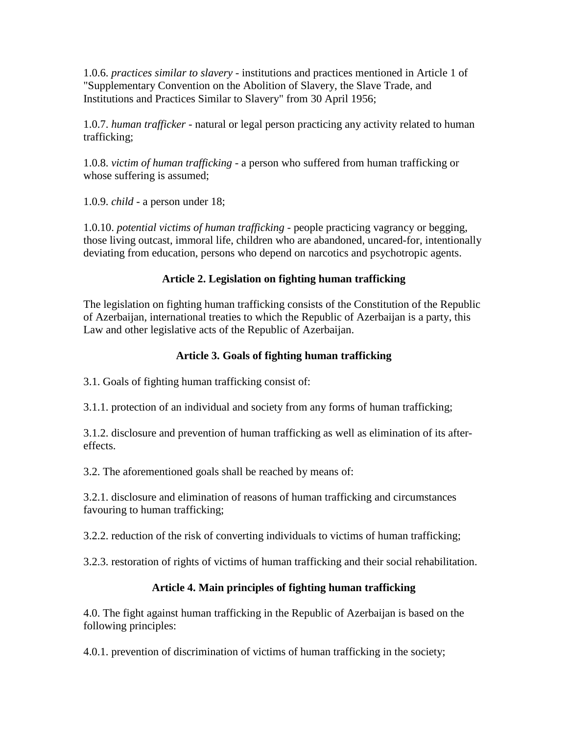1.0.6. *practices similar to slavery* - institutions and practices mentioned in Article 1 of "Supplementary Convention on the Abolition of Slavery, the Slave Trade, and Institutions and Practices Similar to Slavery" from 30 April 1956;

1.0.7. *human trafficker* - natural or legal person practicing any activity related to human trafficking;

1.0.8. *victim of human trafficking* - a person who suffered from human trafficking or whose suffering is assumed;

1.0.9. *child* - a person under 18;

1.0.10. *potential victims of human trafficking* - people practicing vagrancy or begging, those living outcast, immoral life, children who are abandoned, uncared-for, intentionally deviating from education, persons who depend on narcotics and psychotropic agents.

### **Article 2. Legislation on fighting human trafficking**

The legislation on fighting human trafficking consists of the Constitution of the Republic of Azerbaijan, international treaties to which the Republic of Azerbaijan is a party, this Law and other legislative acts of the Republic of Azerbaijan.

### **Article 3. Goals of fighting human trafficking**

3.1. Goals of fighting human trafficking consist of:

3.1.1. protection of an individual and society from any forms of human trafficking;

3.1.2. disclosure and prevention of human trafficking as well as elimination of its aftereffects.

3.2. The aforementioned goals shall be reached by means of:

3.2.1. disclosure and elimination of reasons of human trafficking and circumstances favouring to human trafficking;

3.2.2. reduction of the risk of converting individuals to victims of human trafficking;

3.2.3. restoration of rights of victims of human trafficking and their social rehabilitation.

### **Article 4. Main principles of fighting human trafficking**

4.0. The fight against human trafficking in the Republic of Azerbaijan is based on the following principles:

4.0.1. prevention of discrimination of victims of human trafficking in the society;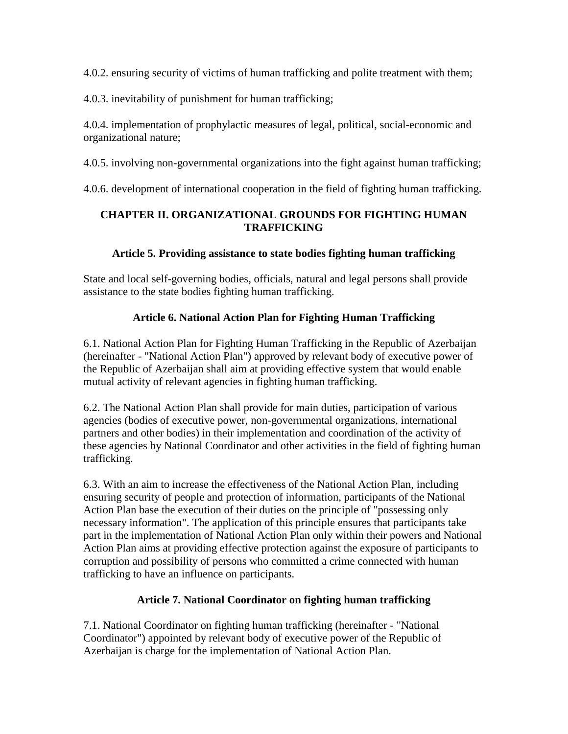4.0.2. ensuring security of victims of human trafficking and polite treatment with them;

4.0.3. inevitability of punishment for human trafficking;

4.0.4. implementation of prophylactic measures of legal, political, social-economic and organizational nature;

4.0.5. involving non-governmental organizations into the fight against human trafficking;

4.0.6. development of international cooperation in the field of fighting human trafficking.

## **CHAPTER II. ORGANIZATIONAL GROUNDS FOR FIGHTING HUMAN TRAFFICKING**

### **Article 5. Providing assistance to state bodies fighting human trafficking**

State and local self-governing bodies, officials, natural and legal persons shall provide assistance to the state bodies fighting human trafficking.

## **Article 6. National Action Plan for Fighting Human Trafficking**

6.1. National Action Plan for Fighting Human Trafficking in the Republic of Azerbaijan (hereinafter - "National Action Plan") approved by relevant body of executive power of the Republic of Azerbaijan shall aim at providing effective system that would enable mutual activity of relevant agencies in fighting human trafficking.

6.2. The National Action Plan shall provide for main duties, participation of various agencies (bodies of executive power, non-governmental organizations, international partners and other bodies) in their implementation and coordination of the activity of these agencies by National Coordinator and other activities in the field of fighting human trafficking.

6.3. With an aim to increase the effectiveness of the National Action Plan, including ensuring security of people and protection of information, participants of the National Action Plan base the execution of their duties on the principle of "possessing only necessary information". The application of this principle ensures that participants take part in the implementation of National Action Plan only within their powers and National Action Plan aims at providing effective protection against the exposure of participants to corruption and possibility of persons who committed a crime connected with human trafficking to have an influence on participants.

## **Article 7. National Coordinator on fighting human trafficking**

7.1. National Coordinator on fighting human trafficking (hereinafter - "National Coordinator") appointed by relevant body of executive power of the Republic of Azerbaijan is charge for the implementation of National Action Plan.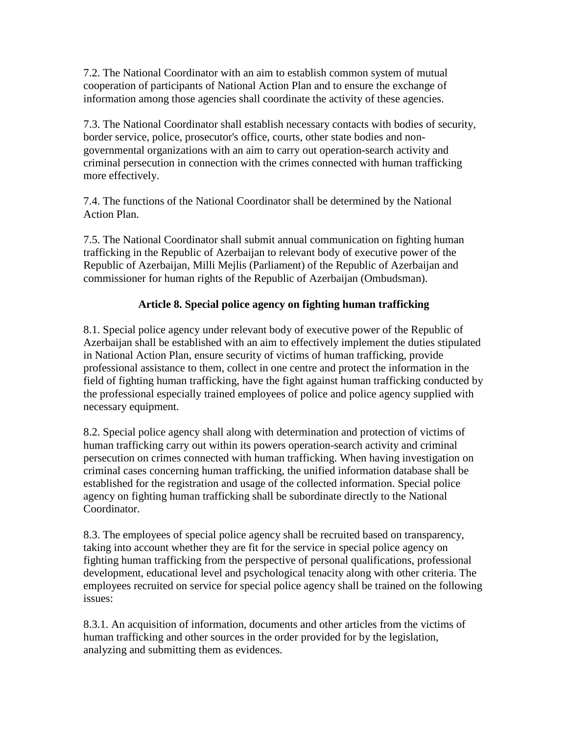7.2. The National Coordinator with an aim to establish common system of mutual cooperation of participants of National Action Plan and to ensure the exchange of information among those agencies shall coordinate the activity of these agencies.

7.3. The National Coordinator shall establish necessary contacts with bodies of security, border service, police, prosecutor's office, courts, other state bodies and nongovernmental organizations with an aim to carry out operation-search activity and criminal persecution in connection with the crimes connected with human trafficking more effectively.

7.4. The functions of the National Coordinator shall be determined by the National Action Plan.

7.5. The National Coordinator shall submit annual communication on fighting human trafficking in the Republic of Azerbaijan to relevant body of executive power of the Republic of Azerbaijan, Milli Mejlis (Parliament) of the Republic of Azerbaijan and commissioner for human rights of the Republic of Azerbaijan (Ombudsman).

### **Article 8. Special police agency on fighting human trafficking**

8.1. Special police agency under relevant body of executive power of the Republic of Azerbaijan shall be established with an aim to effectively implement the duties stipulated in National Action Plan, ensure security of victims of human trafficking, provide professional assistance to them, collect in one centre and protect the information in the field of fighting human trafficking, have the fight against human trafficking conducted by the professional especially trained employees of police and police agency supplied with necessary equipment.

8.2. Special police agency shall along with determination and protection of victims of human trafficking carry out within its powers operation-search activity and criminal persecution on crimes connected with human trafficking. When having investigation on criminal cases concerning human trafficking, the unified information database shall be established for the registration and usage of the collected information. Special police agency on fighting human trafficking shall be subordinate directly to the National Coordinator.

8.3. The employees of special police agency shall be recruited based on transparency, taking into account whether they are fit for the service in special police agency on fighting human trafficking from the perspective of personal qualifications, professional development, educational level and psychological tenacity along with other criteria. The employees recruited on service for special police agency shall be trained on the following issues:

8.3.1. An acquisition of information, documents and other articles from the victims of human trafficking and other sources in the order provided for by the legislation, analyzing and submitting them as evidences.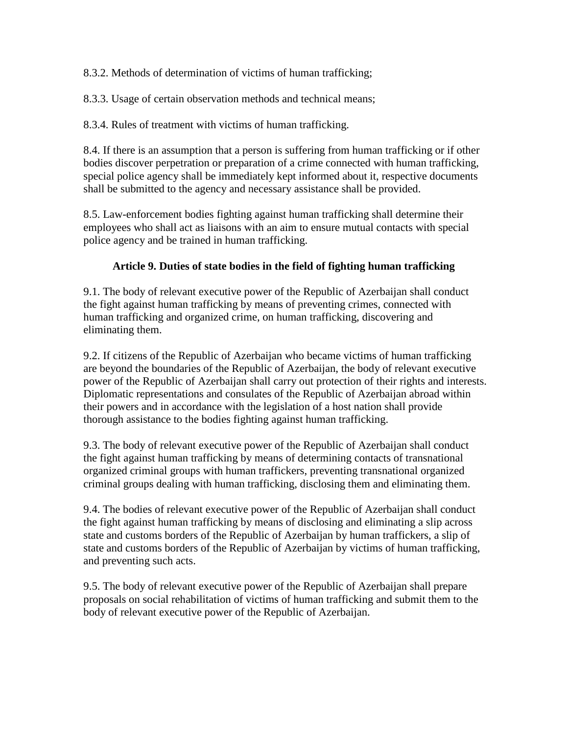8.3.2. Methods of determination of victims of human trafficking;

8.3.3. Usage of certain observation methods and technical means;

8.3.4. Rules of treatment with victims of human trafficking.

8.4. If there is an assumption that a person is suffering from human trafficking or if other bodies discover perpetration or preparation of a crime connected with human trafficking, special police agency shall be immediately kept informed about it, respective documents shall be submitted to the agency and necessary assistance shall be provided.

8.5. Law-enforcement bodies fighting against human trafficking shall determine their employees who shall act as liaisons with an aim to ensure mutual contacts with special police agency and be trained in human trafficking.

#### **Article 9. Duties of state bodies in the field of fighting human trafficking**

9.1. The body of relevant executive power of the Republic of Azerbaijan shall conduct the fight against human trafficking by means of preventing crimes, connected with human trafficking and organized crime, on human trafficking, discovering and eliminating them.

9.2. If citizens of the Republic of Azerbaijan who became victims of human trafficking are beyond the boundaries of the Republic of Azerbaijan, the body of relevant executive power of the Republic of Azerbaijan shall carry out protection of their rights and interests. Diplomatic representations and consulates of the Republic of Azerbaijan abroad within their powers and in accordance with the legislation of a host nation shall provide thorough assistance to the bodies fighting against human trafficking.

9.3. The body of relevant executive power of the Republic of Azerbaijan shall conduct the fight against human trafficking by means of determining contacts of transnational organized criminal groups with human traffickers, preventing transnational organized criminal groups dealing with human trafficking, disclosing them and eliminating them.

9.4. The bodies of relevant executive power of the Republic of Azerbaijan shall conduct the fight against human trafficking by means of disclosing and eliminating a slip across state and customs borders of the Republic of Azerbaijan by human traffickers, a slip of state and customs borders of the Republic of Azerbaijan by victims of human trafficking, and preventing such acts.

9.5. The body of relevant executive power of the Republic of Azerbaijan shall prepare proposals on social rehabilitation of victims of human trafficking and submit them to the body of relevant executive power of the Republic of Azerbaijan.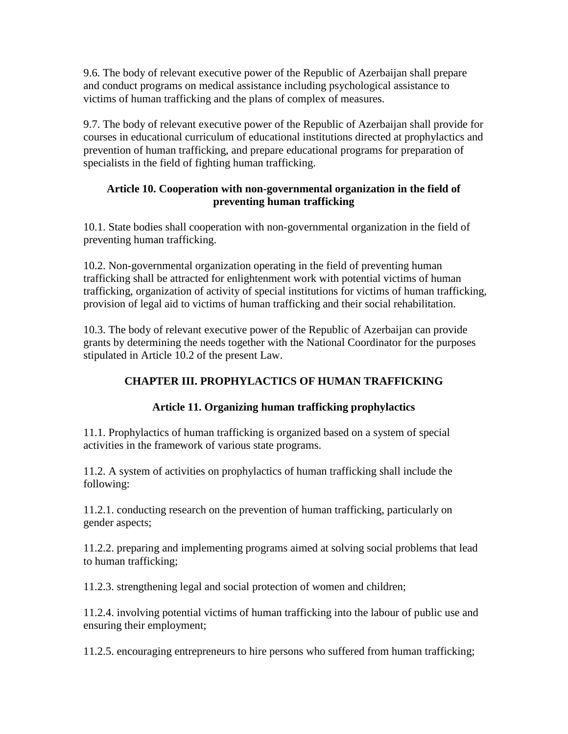9.6. The body of relevant executive power of the Republic of Azerbaijan shall prepare and conduct programs on medical assistance including psychological assistance to victims of human trafficking and the plans of complex of measures.

9.7. The body of relevant executive power of the Republic of Azerbaijan shall provide for courses in educational curriculum of educational institutions directed at prophylactics and prevention of human trafficking, and prepare educational programs for preparation of specialists in the field of fighting human trafficking.

### **Article 10. Cooperation with non-governmental organization in the field of preventing human trafficking**

10.1. State bodies shall cooperation with non-governmental organization in the field of preventing human trafficking.

10.2. Non-governmental organization operating in the field of preventing human trafficking shall be attracted for enlightenment work with potential victims of human trafficking, organization of activity of special institutions for victims of human trafficking, provision of legal aid to victims of human trafficking and their social rehabilitation.

10.3. The body of relevant executive power of the Republic of Azerbaijan can provide grants by determining the needs together with the National Coordinator for the purposes stipulated in Article 10.2 of the present Law.

## **CHAPTER III. PROPHYLACTICS OF HUMAN TRAFFICKING**

### **Article 11. Organizing human trafficking prophylactics**

11.1. Prophylactics of human trafficking is organized based on a system of special activities in the framework of various state programs.

11.2. A system of activities on prophylactics of human trafficking shall include the following:

11.2.1. conducting research on the prevention of human trafficking, particularly on gender aspects;

11.2.2. preparing and implementing programs aimed at solving social problems that lead to human trafficking;

11.2.3. strengthening legal and social protection of women and children;

11.2.4. involving potential victims of human trafficking into the labour of public use and ensuring their employment;

11.2.5. encouraging entrepreneurs to hire persons who suffered from human trafficking;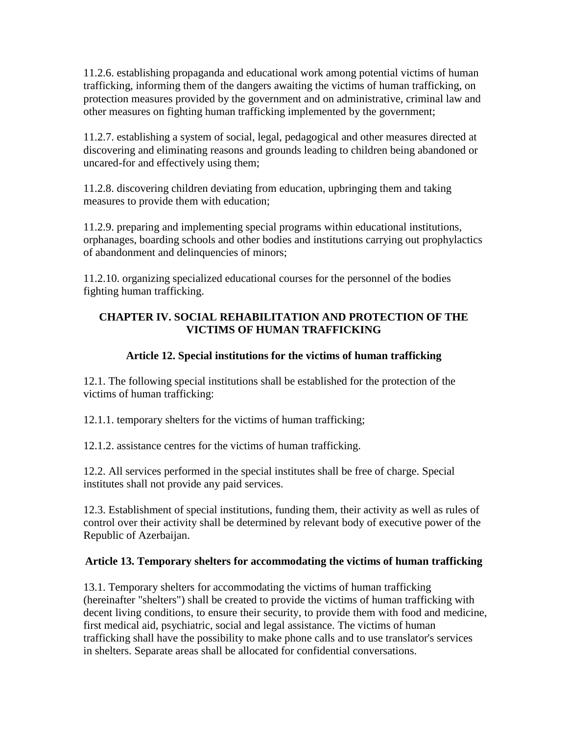11.2.6. establishing propaganda and educational work among potential victims of human trafficking, informing them of the dangers awaiting the victims of human trafficking, on protection measures provided by the government and on administrative, criminal law and other measures on fighting human trafficking implemented by the government;

11.2.7. establishing a system of social, legal, pedagogical and other measures directed at discovering and eliminating reasons and grounds leading to children being abandoned or uncared-for and effectively using them;

11.2.8. discovering children deviating from education, upbringing them and taking measures to provide them with education;

11.2.9. preparing and implementing special programs within educational institutions, orphanages, boarding schools and other bodies and institutions carrying out prophylactics of abandonment and delinquencies of minors;

11.2.10. organizing specialized educational courses for the personnel of the bodies fighting human trafficking.

### **CHAPTER IV. SOCIAL REHABILITATION AND PROTECTION OF THE VICTIMS OF HUMAN TRAFFICKING**

### **Article 12. Special institutions for the victims of human trafficking**

12.1. The following special institutions shall be established for the protection of the victims of human trafficking:

12.1.1. temporary shelters for the victims of human trafficking;

12.1.2. assistance centres for the victims of human trafficking.

12.2. All services performed in the special institutes shall be free of charge. Special institutes shall not provide any paid services.

12.3. Establishment of special institutions, funding them, their activity as well as rules of control over their activity shall be determined by relevant body of executive power of the Republic of Azerbaijan.

## **Article 13. Temporary shelters for accommodating the victims of human trafficking**

13.1. Temporary shelters for accommodating the victims of human trafficking (hereinafter "shelters") shall be created to provide the victims of human trafficking with decent living conditions, to ensure their security, to provide them with food and medicine, first medical aid, psychiatric, social and legal assistance. The victims of human trafficking shall have the possibility to make phone calls and to use translator's services in shelters. Separate areas shall be allocated for confidential conversations.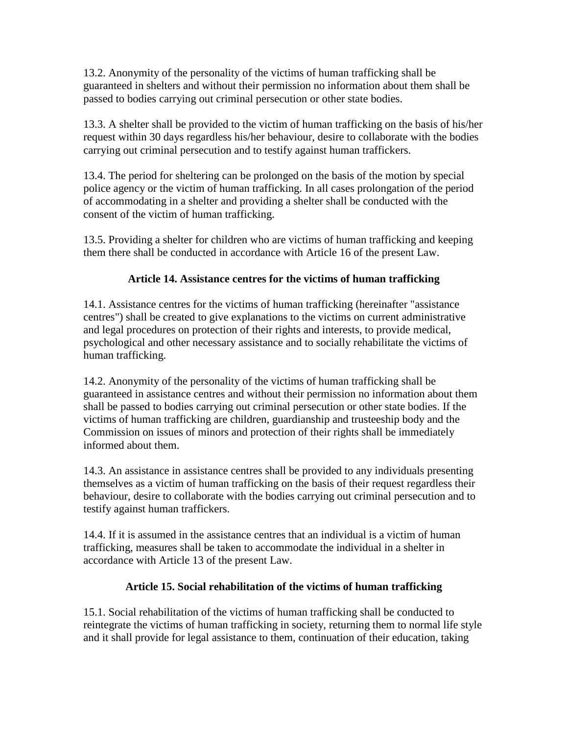13.2. Anonymity of the personality of the victims of human trafficking shall be guaranteed in shelters and without their permission no information about them shall be passed to bodies carrying out criminal persecution or other state bodies.

13.3. A shelter shall be provided to the victim of human trafficking on the basis of his/her request within 30 days regardless his/her behaviour, desire to collaborate with the bodies carrying out criminal persecution and to testify against human traffickers.

13.4. The period for sheltering can be prolonged on the basis of the motion by special police agency or the victim of human trafficking. In all cases prolongation of the period of accommodating in a shelter and providing a shelter shall be conducted with the consent of the victim of human trafficking.

13.5. Providing a shelter for children who are victims of human trafficking and keeping them there shall be conducted in accordance with Article 16 of the present Law.

### **Article 14. Assistance centres for the victims of human trafficking**

14.1. Assistance centres for the victims of human trafficking (hereinafter "assistance centres") shall be created to give explanations to the victims on current administrative and legal procedures on protection of their rights and interests, to provide medical, psychological and other necessary assistance and to socially rehabilitate the victims of human trafficking.

14.2. Anonymity of the personality of the victims of human trafficking shall be guaranteed in assistance centres and without their permission no information about them shall be passed to bodies carrying out criminal persecution or other state bodies. If the victims of human trafficking are children, guardianship and trusteeship body and the Commission on issues of minors and protection of their rights shall be immediately informed about them.

14.3. An assistance in assistance centres shall be provided to any individuals presenting themselves as a victim of human trafficking on the basis of their request regardless their behaviour, desire to collaborate with the bodies carrying out criminal persecution and to testify against human traffickers.

14.4. If it is assumed in the assistance centres that an individual is a victim of human trafficking, measures shall be taken to accommodate the individual in a shelter in accordance with Article 13 of the present Law.

### **Article 15. Social rehabilitation of the victims of human trafficking**

15.1. Social rehabilitation of the victims of human trafficking shall be conducted to reintegrate the victims of human trafficking in society, returning them to normal life style and it shall provide for legal assistance to them, continuation of their education, taking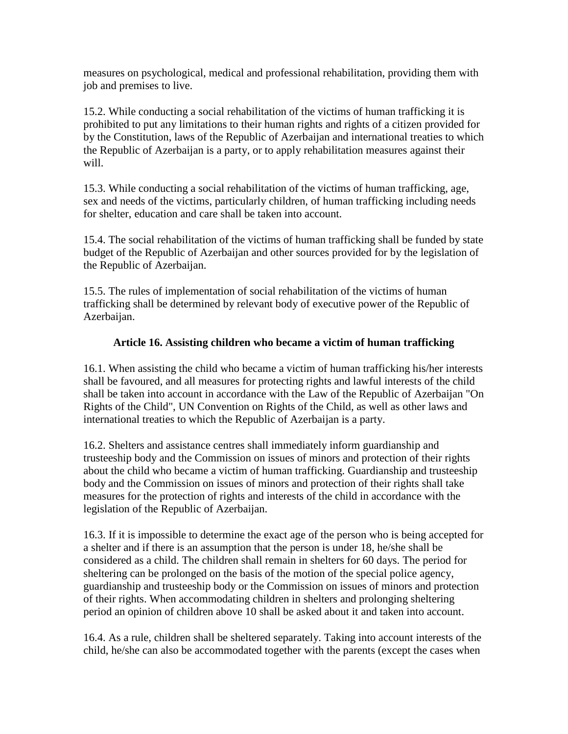measures on psychological, medical and professional rehabilitation, providing them with job and premises to live.

15.2. While conducting a social rehabilitation of the victims of human trafficking it is prohibited to put any limitations to their human rights and rights of a citizen provided for by the Constitution, laws of the Republic of Azerbaijan and international treaties to which the Republic of Azerbaijan is a party, or to apply rehabilitation measures against their will.

15.3. While conducting a social rehabilitation of the victims of human trafficking, age, sex and needs of the victims, particularly children, of human trafficking including needs for shelter, education and care shall be taken into account.

15.4. The social rehabilitation of the victims of human trafficking shall be funded by state budget of the Republic of Azerbaijan and other sources provided for by the legislation of the Republic of Azerbaijan.

15.5. The rules of implementation of social rehabilitation of the victims of human trafficking shall be determined by relevant body of executive power of the Republic of Azerbaijan.

#### **Article 16. Assisting children who became a victim of human trafficking**

16.1. When assisting the child who became a victim of human trafficking his/her interests shall be favoured, and all measures for protecting rights and lawful interests of the child shall be taken into account in accordance with the Law of the Republic of Azerbaijan "On Rights of the Child", UN Convention on Rights of the Child, as well as other laws and international treaties to which the Republic of Azerbaijan is a party.

16.2. Shelters and assistance centres shall immediately inform guardianship and trusteeship body and the Commission on issues of minors and protection of their rights about the child who became a victim of human trafficking. Guardianship and trusteeship body and the Commission on issues of minors and protection of their rights shall take measures for the protection of rights and interests of the child in accordance with the legislation of the Republic of Azerbaijan.

16.3. If it is impossible to determine the exact age of the person who is being accepted for a shelter and if there is an assumption that the person is under 18, he/she shall be considered as a child. The children shall remain in shelters for 60 days. The period for sheltering can be prolonged on the basis of the motion of the special police agency, guardianship and trusteeship body or the Commission on issues of minors and protection of their rights. When accommodating children in shelters and prolonging sheltering period an opinion of children above 10 shall be asked about it and taken into account.

16.4. As a rule, children shall be sheltered separately. Taking into account interests of the child, he/she can also be accommodated together with the parents (except the cases when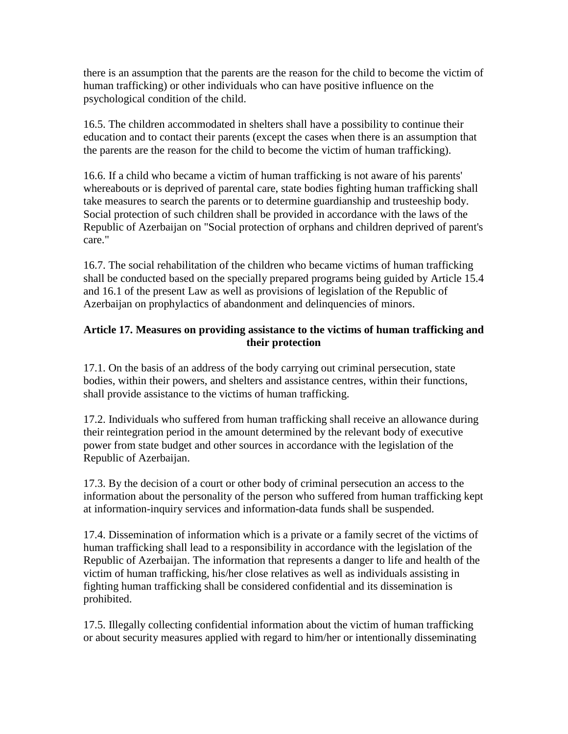there is an assumption that the parents are the reason for the child to become the victim of human trafficking) or other individuals who can have positive influence on the psychological condition of the child.

16.5. The children accommodated in shelters shall have a possibility to continue their education and to contact their parents (except the cases when there is an assumption that the parents are the reason for the child to become the victim of human trafficking).

16.6. If a child who became a victim of human trafficking is not aware of his parents' whereabouts or is deprived of parental care, state bodies fighting human trafficking shall take measures to search the parents or to determine guardianship and trusteeship body. Social protection of such children shall be provided in accordance with the laws of the Republic of Azerbaijan on "Social protection of orphans and children deprived of parent's care."

16.7. The social rehabilitation of the children who became victims of human trafficking shall be conducted based on the specially prepared programs being guided by Article 15.4 and 16.1 of the present Law as well as provisions of legislation of the Republic of Azerbaijan on prophylactics of abandonment and delinquencies of minors.

#### **Article 17. Measures on providing assistance to the victims of human trafficking and their protection**

17.1. On the basis of an address of the body carrying out criminal persecution, state bodies, within their powers, and shelters and assistance centres, within their functions, shall provide assistance to the victims of human trafficking.

17.2. Individuals who suffered from human trafficking shall receive an allowance during their reintegration period in the amount determined by the relevant body of executive power from state budget and other sources in accordance with the legislation of the Republic of Azerbaijan.

17.3. By the decision of a court or other body of criminal persecution an access to the information about the personality of the person who suffered from human trafficking kept at information-inquiry services and information-data funds shall be suspended.

17.4. Dissemination of information which is a private or a family secret of the victims of human trafficking shall lead to a responsibility in accordance with the legislation of the Republic of Azerbaijan. The information that represents a danger to life and health of the victim of human trafficking, his/her close relatives as well as individuals assisting in fighting human trafficking shall be considered confidential and its dissemination is prohibited.

17.5. Illegally collecting confidential information about the victim of human trafficking or about security measures applied with regard to him/her or intentionally disseminating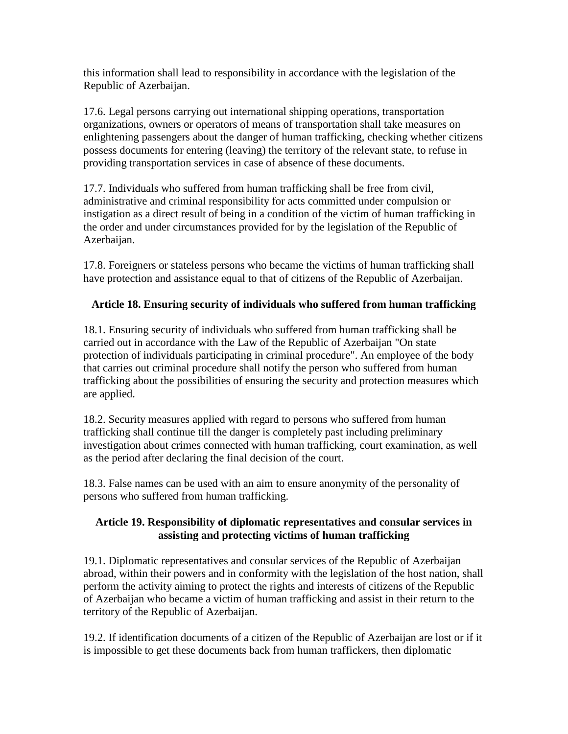this information shall lead to responsibility in accordance with the legislation of the Republic of Azerbaijan.

17.6. Legal persons carrying out international shipping operations, transportation organizations, owners or operators of means of transportation shall take measures on enlightening passengers about the danger of human trafficking, checking whether citizens possess documents for entering (leaving) the territory of the relevant state, to refuse in providing transportation services in case of absence of these documents.

17.7. Individuals who suffered from human trafficking shall be free from civil, administrative and criminal responsibility for acts committed under compulsion or instigation as a direct result of being in a condition of the victim of human trafficking in the order and under circumstances provided for by the legislation of the Republic of Azerbaijan.

17.8. Foreigners or stateless persons who became the victims of human trafficking shall have protection and assistance equal to that of citizens of the Republic of Azerbaijan.

#### **Article 18. Ensuring security of individuals who suffered from human trafficking**

18.1. Ensuring security of individuals who suffered from human trafficking shall be carried out in accordance with the Law of the Republic of Azerbaijan "On state protection of individuals participating in criminal procedure". An employee of the body that carries out criminal procedure shall notify the person who suffered from human trafficking about the possibilities of ensuring the security and protection measures which are applied.

18.2. Security measures applied with regard to persons who suffered from human trafficking shall continue till the danger is completely past including preliminary investigation about crimes connected with human trafficking, court examination, as well as the period after declaring the final decision of the court.

18.3. False names can be used with an aim to ensure anonymity of the personality of persons who suffered from human trafficking.

#### **Article 19. Responsibility of diplomatic representatives and consular services in assisting and protecting victims of human trafficking**

19.1. Diplomatic representatives and consular services of the Republic of Azerbaijan abroad, within their powers and in conformity with the legislation of the host nation, shall perform the activity aiming to protect the rights and interests of citizens of the Republic of Azerbaijan who became a victim of human trafficking and assist in their return to the territory of the Republic of Azerbaijan.

19.2. If identification documents of a citizen of the Republic of Azerbaijan are lost or if it is impossible to get these documents back from human traffickers, then diplomatic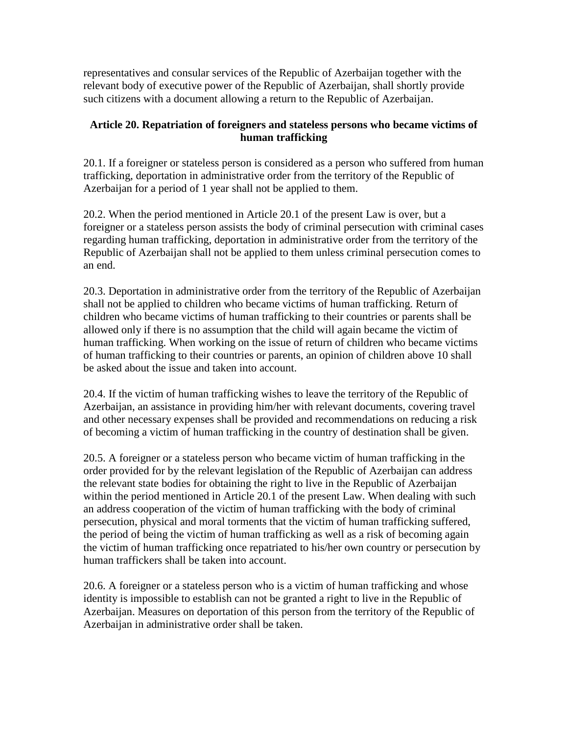representatives and consular services of the Republic of Azerbaijan together with the relevant body of executive power of the Republic of Azerbaijan, shall shortly provide such citizens with a document allowing a return to the Republic of Azerbaijan.

#### **Article 20. Repatriation of foreigners and stateless persons who became victims of human trafficking**

20.1. If a foreigner or stateless person is considered as a person who suffered from human trafficking, deportation in administrative order from the territory of the Republic of Azerbaijan for a period of 1 year shall not be applied to them.

20.2. When the period mentioned in Article 20.1 of the present Law is over, but a foreigner or a stateless person assists the body of criminal persecution with criminal cases regarding human trafficking, deportation in administrative order from the territory of the Republic of Azerbaijan shall not be applied to them unless criminal persecution comes to an end.

20.3. Deportation in administrative order from the territory of the Republic of Azerbaijan shall not be applied to children who became victims of human trafficking. Return of children who became victims of human trafficking to their countries or parents shall be allowed only if there is no assumption that the child will again became the victim of human trafficking. When working on the issue of return of children who became victims of human trafficking to their countries or parents, an opinion of children above 10 shall be asked about the issue and taken into account.

20.4. If the victim of human trafficking wishes to leave the territory of the Republic of Azerbaijan, an assistance in providing him/her with relevant documents, covering travel and other necessary expenses shall be provided and recommendations on reducing a risk of becoming a victim of human trafficking in the country of destination shall be given.

20.5. A foreigner or a stateless person who became victim of human trafficking in the order provided for by the relevant legislation of the Republic of Azerbaijan can address the relevant state bodies for obtaining the right to live in the Republic of Azerbaijan within the period mentioned in Article 20.1 of the present Law. When dealing with such an address cooperation of the victim of human trafficking with the body of criminal persecution, physical and moral torments that the victim of human trafficking suffered, the period of being the victim of human trafficking as well as a risk of becoming again the victim of human trafficking once repatriated to his/her own country or persecution by human traffickers shall be taken into account.

20.6. A foreigner or a stateless person who is a victim of human trafficking and whose identity is impossible to establish can not be granted a right to live in the Republic of Azerbaijan. Measures on deportation of this person from the territory of the Republic of Azerbaijan in administrative order shall be taken.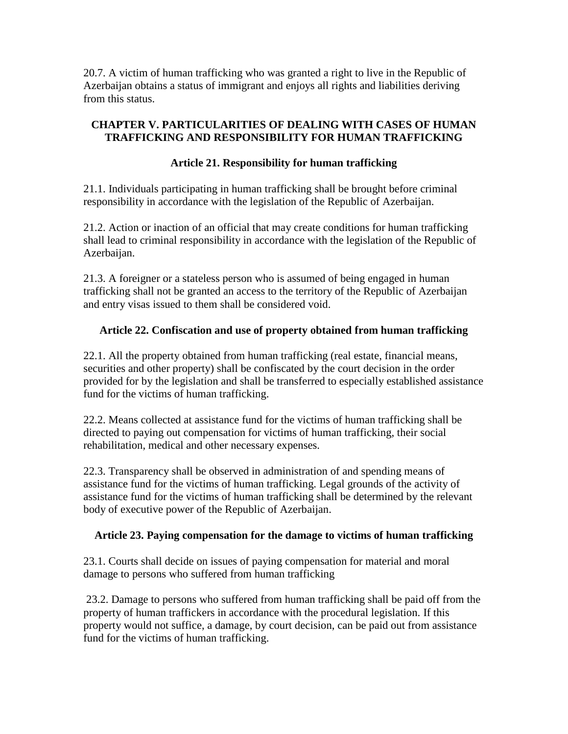20.7. A victim of human trafficking who was granted a right to live in the Republic of Azerbaijan obtains a status of immigrant and enjoys all rights and liabilities deriving from this status.

### **CHAPTER V. PARTICULARITIES OF DEALING WITH CASES OF HUMAN TRAFFICKING AND RESPONSIBILITY FOR HUMAN TRAFFICKING**

### **Article 21. Responsibility for human trafficking**

21.1. Individuals participating in human trafficking shall be brought before criminal responsibility in accordance with the legislation of the Republic of Azerbaijan.

21.2. Action or inaction of an official that may create conditions for human trafficking shall lead to criminal responsibility in accordance with the legislation of the Republic of Azerbaijan.

21.3. A foreigner or a stateless person who is assumed of being engaged in human trafficking shall not be granted an access to the territory of the Republic of Azerbaijan and entry visas issued to them shall be considered void.

### **Article 22. Confiscation and use of property obtained from human trafficking**

22.1. All the property obtained from human trafficking (real estate, financial means, securities and other property) shall be confiscated by the court decision in the order provided for by the legislation and shall be transferred to especially established assistance fund for the victims of human trafficking.

22.2. Means collected at assistance fund for the victims of human trafficking shall be directed to paying out compensation for victims of human trafficking, their social rehabilitation, medical and other necessary expenses.

22.3. Transparency shall be observed in administration of and spending means of assistance fund for the victims of human trafficking. Legal grounds of the activity of assistance fund for the victims of human trafficking shall be determined by the relevant body of executive power of the Republic of Azerbaijan.

#### **Article 23. Paying compensation for the damage to victims of human trafficking**

23.1. Courts shall decide on issues of paying compensation for material and moral damage to persons who suffered from human trafficking

23.2. Damage to persons who suffered from human trafficking shall be paid off from the property of human traffickers in accordance with the procedural legislation. If this property would not suffice, a damage, by court decision, can be paid out from assistance fund for the victims of human trafficking.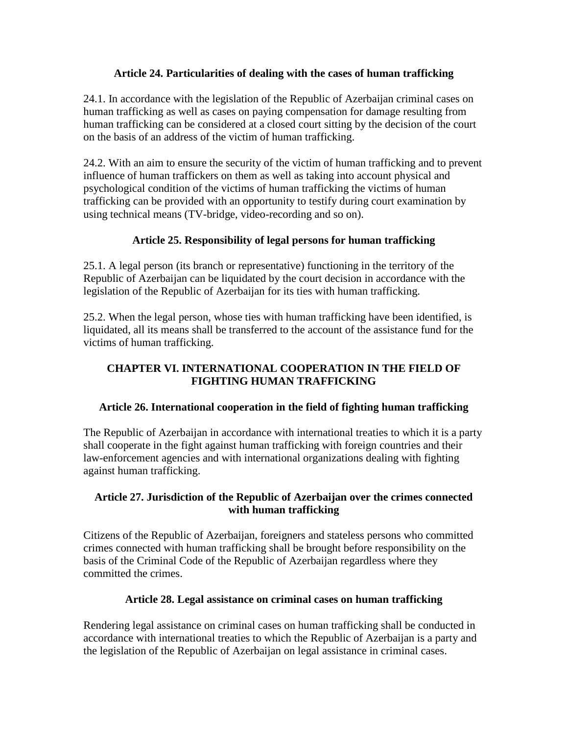#### **Article 24. Particularities of dealing with the cases of human trafficking**

24.1. In accordance with the legislation of the Republic of Azerbaijan criminal cases on human trafficking as well as cases on paying compensation for damage resulting from human trafficking can be considered at a closed court sitting by the decision of the court on the basis of an address of the victim of human trafficking.

24.2. With an aim to ensure the security of the victim of human trafficking and to prevent influence of human traffickers on them as well as taking into account physical and psychological condition of the victims of human trafficking the victims of human trafficking can be provided with an opportunity to testify during court examination by using technical means (TV-bridge, video-recording and so on).

### **Article 25. Responsibility of legal persons for human trafficking**

25.1. A legal person (its branch or representative) functioning in the territory of the Republic of Azerbaijan can be liquidated by the court decision in accordance with the legislation of the Republic of Azerbaijan for its ties with human trafficking.

25.2. When the legal person, whose ties with human trafficking have been identified, is liquidated, all its means shall be transferred to the account of the assistance fund for the victims of human trafficking.

### **CHAPTER VI. INTERNATIONAL COOPERATION IN THE FIELD OF FIGHTING HUMAN TRAFFICKING**

#### **Article 26. International cooperation in the field of fighting human trafficking**

The Republic of Azerbaijan in accordance with international treaties to which it is a party shall cooperate in the fight against human trafficking with foreign countries and their law-enforcement agencies and with international organizations dealing with fighting against human trafficking.

### **Article 27. Jurisdiction of the Republic of Azerbaijan over the crimes connected with human trafficking**

Citizens of the Republic of Azerbaijan, foreigners and stateless persons who committed crimes connected with human trafficking shall be brought before responsibility on the basis of the Criminal Code of the Republic of Azerbaijan regardless where they committed the crimes.

#### **Article 28. Legal assistance on criminal cases on human trafficking**

Rendering legal assistance on criminal cases on human trafficking shall be conducted in accordance with international treaties to which the Republic of Azerbaijan is a party and the legislation of the Republic of Azerbaijan on legal assistance in criminal cases.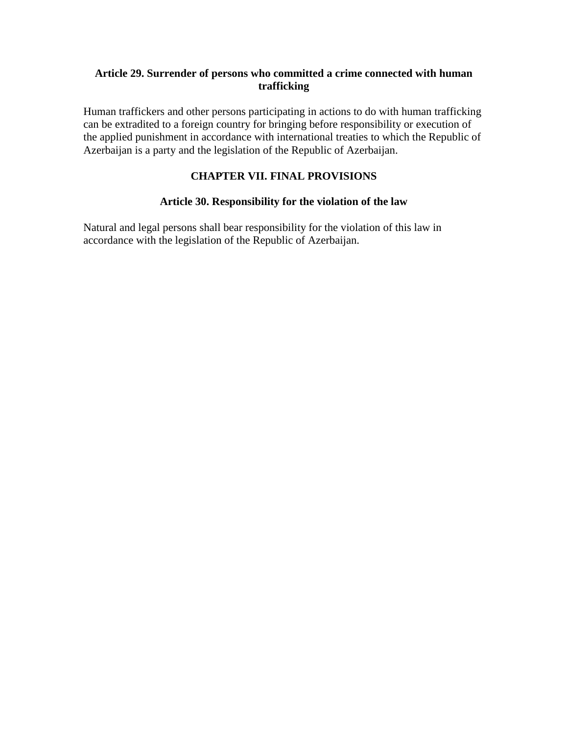#### **Article 29. Surrender of persons who committed a crime connected with human trafficking**

Human traffickers and other persons participating in actions to do with human trafficking can be extradited to a foreign country for bringing before responsibility or execution of the applied punishment in accordance with international treaties to which the Republic of Azerbaijan is a party and the legislation of the Republic of Azerbaijan.

### **CHAPTER VII. FINAL PROVISIONS**

#### **Article 30. Responsibility for the violation of the law**

Natural and legal persons shall bear responsibility for the violation of this law in accordance with the legislation of the Republic of Azerbaijan.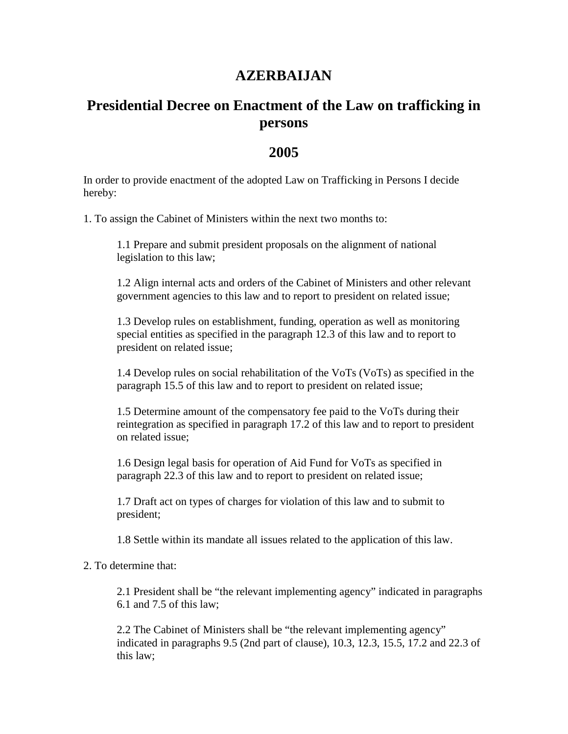# **AZERBAIJAN**

# **Presidential Decree on Enactment of the Law on trafficking in persons**

## **2005**

In order to provide enactment of the adopted Law on Trafficking in Persons I decide hereby:

1. To assign the Cabinet of Ministers within the next two months to:

1.1 Prepare and submit president proposals on the alignment of national legislation to this law;

1.2 Align internal acts and orders of the Cabinet of Ministers and other relevant government agencies to this law and to report to president on related issue;

1.3 Develop rules on establishment, funding, operation as well as monitoring special entities as specified in the paragraph 12.3 of this law and to report to president on related issue;

1.4 Develop rules on social rehabilitation of the VoTs (VoTs) as specified in the paragraph 15.5 of this law and to report to president on related issue;

1.5 Determine amount of the compensatory fee paid to the VoTs during their reintegration as specified in paragraph 17.2 of this law and to report to president on related issue;

1.6 Design legal basis for operation of Aid Fund for VoTs as specified in paragraph 22.3 of this law and to report to president on related issue;

1.7 Draft act on types of charges for violation of this law and to submit to president;

1.8 Settle within its mandate all issues related to the application of this law.

2. To determine that:

2.1 President shall be "the relevant implementing agency" indicated in paragraphs 6.1 and 7.5 of this law;

2.2 The Cabinet of Ministers shall be "the relevant implementing agency" indicated in paragraphs 9.5 (2nd part of clause), 10.3, 12.3, 15.5, 17.2 and 22.3 of this law;